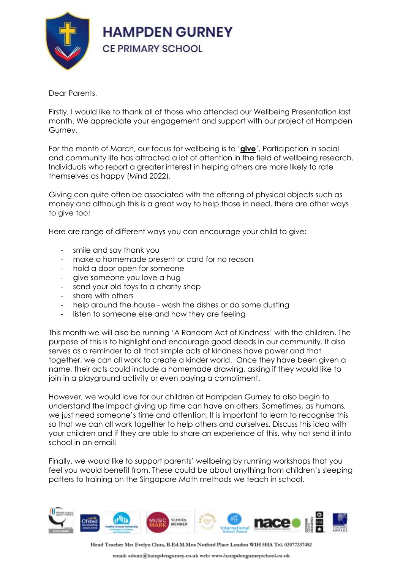

## Dear Parents,

Firstly, I would like to thank all of those who attended our Wellbeing Presentation last month. We appreciate your engagement and support with our project at Hampden Gurney.

For the month of March, our focus for wellbeing is to '**give**'. Participation in social and community life has attracted a lot of attention in the field of wellbeing research. Individuals who report a greater interest in helping others are more likely to rate themselves as happy (Mind 2022).

Giving can quite often be associated with the offering of physical objects such as money and although this is a great way to help those in need, there are other ways to give too!

Here are range of different ways you can encourage your child to give:

- smile and say thank you
- make a homemade present or card for no reason
- hold a door open for someone
- give someone you love a hug
- send your old toys to a charity shop
- share with others
- help around the house wash the dishes or do some dusting
- listen to someone else and how they are feeling

This month we will also be running 'A Random Act of Kindness' with the children. The purpose of this is to highlight and encourage good deeds in our community. It also serves as a reminder to all that simple acts of kindness have power and that together, we can all work to create a kinder world. Once they have been given a name, their acts could include a homemade drawing, asking if they would like to join in a playground activity or even paying a compliment.

However, we would love for our children at Hampden Gurney to also begin to understand the impact giving up time can have on others. Sometimes, as humans, we just need someone's time and attention. It is important to learn to recognise this so that we can all work together to help others and ourselves. Discuss this idea with your children and if they are able to share an experience of this, why not send it into school in an email!

Finally, we would like to support parents' wellbeing by running workshops that you feel you would benefit from. These could be about anything from children's sleeping patters to training on the Singapore Math methods we teach in school.